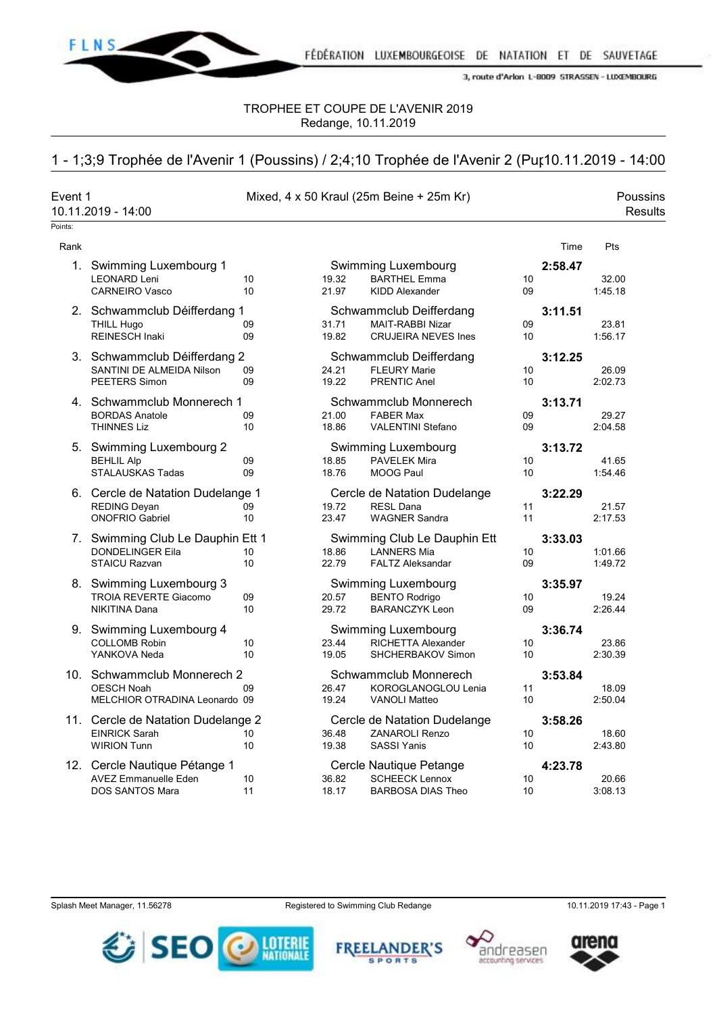

TROPHEE ET COUPE DE L'AVENIR 2019 Redange, 10.11.2019

# 1 - 1;3;9 Trophée de l'Avenir 1 (Poussins) / 2;4;10 Trophée de l'Avenir 2 (Pur10.11.2019 - 14:00

| Event 1 | 10.11.2019 - 14:00                                                                     |          |                | Mixed, 4 x 50 Kraul (25m Beine + 25m Kr)                                      |          |         | Poussins<br>Results |
|---------|----------------------------------------------------------------------------------------|----------|----------------|-------------------------------------------------------------------------------|----------|---------|---------------------|
| Points: |                                                                                        |          |                |                                                                               |          |         |                     |
| Rank    |                                                                                        |          |                |                                                                               |          | Time    | Pts                 |
|         | 1. Swimming Luxembourg 1<br><b>LEONARD Leni</b><br><b>CARNEIRO Vasco</b>               | 10<br>10 | 19.32<br>21.97 | Swimming Luxembourg<br><b>BARTHEL Emma</b><br><b>KIDD Alexander</b>           | 10<br>09 | 2:58.47 | 32.00<br>1:45.18    |
|         | 2. Schwammclub Déifferdang 1<br><b>THILL Hugo</b><br><b>REINESCH Inaki</b>             | 09<br>09 | 31.71<br>19.82 | Schwammclub Deifferdang<br>MAIT-RABBI Nizar<br><b>CRUJEIRA NEVES Ines</b>     | 09<br>10 | 3:11.51 | 23.81<br>1:56.17    |
|         | 3. Schwammclub Déifferdang 2<br>SANTINI DE ALMEIDA Nilson<br><b>PEETERS Simon</b>      | 09<br>09 | 24.21<br>19.22 | Schwammclub Deifferdang<br><b>FLEURY Marie</b><br><b>PRENTIC Anel</b>         | 10<br>10 | 3:12.25 | 26.09<br>2:02.73    |
|         | 4. Schwammclub Monnerech 1<br><b>BORDAS Anatole</b><br><b>THINNES Liz</b>              | 09<br>10 | 21.00<br>18.86 | Schwammclub Monnerech<br><b>FABER Max</b><br><b>VALENTINI Stefano</b>         | 09<br>09 | 3:13.71 | 29.27<br>2:04.58    |
|         | 5. Swimming Luxembourg 2<br><b>BEHLIL Alp</b><br><b>STALAUSKAS Tadas</b>               | 09<br>09 | 18.85<br>18.76 | Swimming Luxembourg<br>PAVELEK Mira<br><b>MOOG Paul</b>                       | 10<br>10 | 3:13.72 | 41.65<br>1:54.46    |
|         | 6. Cercle de Natation Dudelange 1<br><b>REDING Deyan</b><br><b>ONOFRIO Gabriel</b>     | 09<br>10 | 19.72<br>23.47 | Cercle de Natation Dudelange<br><b>RESL Dana</b><br><b>WAGNER Sandra</b>      | 11<br>11 | 3:22.29 | 21.57<br>2:17.53    |
|         | 7. Swimming Club Le Dauphin Ett 1<br><b>DONDELINGER Eila</b><br><b>STAICU Razvan</b>   | 10<br>10 | 18.86<br>22.79 | Swimming Club Le Dauphin Ett<br><b>LANNERS Mia</b><br><b>FALTZ Aleksandar</b> | 10<br>09 | 3:33.03 | 1:01.66<br>1:49.72  |
|         | 8. Swimming Luxembourg 3<br><b>TROIA REVERTE Giacomo</b><br><b>NIKITINA Dana</b>       | 09<br>10 | 20.57<br>29.72 | Swimming Luxembourg<br><b>BENTO Rodrigo</b><br><b>BARANCZYK Leon</b>          | 10<br>09 | 3:35.97 | 19.24<br>2:26.44    |
|         | 9. Swimming Luxembourg 4<br><b>COLLOMB Robin</b><br>YANKOVA Neda                       | 10<br>10 | 23.44<br>19.05 | Swimming Luxembourg<br>RICHETTA Alexander<br>SHCHERBAKOV Simon                | 10<br>10 | 3:36.74 | 23.86<br>2:30.39    |
|         | 10. Schwammclub Monnerech 2<br><b>OESCH Noah</b><br>MELCHIOR OTRADINA Leonardo 09      | 09       | 26.47<br>19.24 | Schwammclub Monnerech<br>KOROGLANOGLOU Lenia<br><b>VANOLI Matteo</b>          | 11<br>10 | 3:53.84 | 18.09<br>2:50.04    |
|         | 11. Cercle de Natation Dudelange 2<br><b>EINRICK Sarah</b><br><b>WIRION Tunn</b>       | 10<br>10 | 36.48<br>19.38 | Cercle de Natation Dudelange<br>ZANAROLI Renzo<br><b>SASSI Yanis</b>          | 10<br>10 | 3:58.26 | 18.60<br>2:43.80    |
|         | 12. Cercle Nautique Pétange 1<br><b>AVEZ Emmanuelle Eden</b><br><b>DOS SANTOS Mara</b> | 10<br>11 | 36.82<br>18.17 | Cercle Nautique Petange<br><b>SCHEECK Lennox</b><br><b>BARBOSA DIAS Theo</b>  | 10<br>10 | 4:23.78 | 20.66<br>3:08.13    |

Splash Meet Manager, 11.56278 Registered to Swimming Club Redange 10.11.2019 17:43 - Page 1







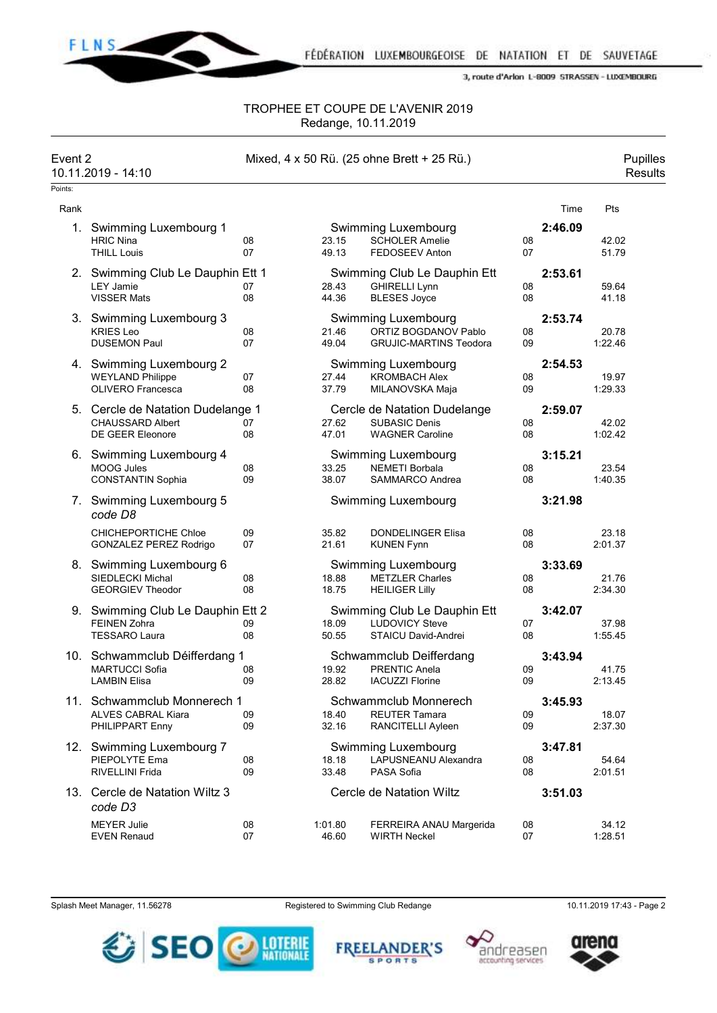

## TROPHEE ET COUPE DE L'AVENIR 2019 Redange, 10.11.2019

| Event 2 | 10.11.2019 - 14:10                                                                      |          |                  | Mixed, 4 x 50 Rü. (25 ohne Brett + 25 Rü.)                                          |          |         | Pupilles<br><b>Results</b> |
|---------|-----------------------------------------------------------------------------------------|----------|------------------|-------------------------------------------------------------------------------------|----------|---------|----------------------------|
| Points: |                                                                                         |          |                  |                                                                                     |          |         |                            |
| Rank    |                                                                                         |          |                  |                                                                                     |          | Time    | Pts                        |
|         | 1. Swimming Luxembourg 1<br><b>HRIC Nina</b><br><b>THILL Louis</b>                      | 08<br>07 | 23.15<br>49.13   | Swimming Luxembourg<br><b>SCHOLER Amelie</b><br><b>FEDOSEEV Anton</b>               | 08<br>07 | 2:46.09 | 42.02<br>51.79             |
|         | 2. Swimming Club Le Dauphin Ett 1<br><b>LEY Jamie</b><br><b>VISSER Mats</b>             | 07<br>08 | 28.43<br>44.36   | Swimming Club Le Dauphin Ett<br><b>GHIRELLI Lynn</b><br><b>BLESES Joyce</b>         | 08<br>08 | 2:53.61 | 59.64<br>41.18             |
|         | 3. Swimming Luxembourg 3<br><b>KRIES Leo</b><br><b>DUSEMON Paul</b>                     | 08<br>07 | 21.46<br>49.04   | Swimming Luxembourg<br><b>ORTIZ BOGDANOV Pablo</b><br><b>GRUJIC-MARTINS Teodora</b> | 08<br>09 | 2:53.74 | 20.78<br>1:22.46           |
|         | 4. Swimming Luxembourg 2<br><b>WEYLAND Philippe</b><br>OLIVERO Francesca                | 07<br>08 | 27.44<br>37.79   | Swimming Luxembourg<br><b>KROMBACH Alex</b><br>MILANOVSKA Maja                      | 08<br>09 | 2:54.53 | 19.97<br>1:29.33           |
|         | 5. Cercle de Natation Dudelange 1<br><b>CHAUSSARD Albert</b><br><b>DE GEER Eleonore</b> | 07<br>08 | 27.62<br>47.01   | Cercle de Natation Dudelange<br><b>SUBASIC Denis</b><br><b>WAGNER Caroline</b>      | 08<br>08 | 2:59.07 | 42.02<br>1:02.42           |
|         | 6. Swimming Luxembourg 4<br>MOOG Jules<br><b>CONSTANTIN Sophia</b>                      | 08<br>09 | 33.25<br>38.07   | Swimming Luxembourg<br><b>NEMETI Borbala</b><br>SAMMARCO Andrea                     | 08<br>08 | 3:15.21 | 23.54<br>1:40.35           |
|         | 7. Swimming Luxembourg 5<br>code D8                                                     |          |                  | Swimming Luxembourg                                                                 |          | 3:21.98 |                            |
|         | <b>CHICHEPORTICHE Chloe</b><br>GONZALEZ PEREZ Rodrigo                                   | 09<br>07 | 35.82<br>21.61   | <b>DONDELINGER Elisa</b><br><b>KUNEN Fynn</b>                                       | 08<br>08 |         | 23.18<br>2:01.37           |
|         | 8. Swimming Luxembourg 6<br>SIEDLECKI Michal<br><b>GEORGIEV Theodor</b>                 | 08<br>08 | 18.88<br>18.75   | Swimming Luxembourg<br><b>METZLER Charles</b><br><b>HEILIGER Lilly</b>              | 08<br>08 | 3:33.69 | 21.76<br>2:34.30           |
|         | 9. Swimming Club Le Dauphin Ett 2<br><b>FEINEN Zohra</b><br><b>TESSARO Laura</b>        | 09<br>08 | 18.09<br>50.55   | Swimming Club Le Dauphin Ett<br>LUDOVICY Steve<br><b>STAICU David-Andrei</b>        | 07<br>08 | 3:42.07 | 37.98<br>1:55.45           |
|         | 10. Schwammclub Déifferdang 1<br><b>MARTUCCI Sofia</b><br><b>LAMBIN Elisa</b>           | 08<br>09 | 19.92<br>28.82   | Schwammclub Deifferdang<br><b>PRENTIC Anela</b><br><b>IACUZZI Florine</b>           | 09<br>09 | 3:43.94 | 41.75<br>2:13.45           |
|         | 11. Schwammclub Monnerech 1<br><b>ALVES CABRAL Kiara</b><br>PHILIPPART Enny             | 09<br>09 | 18.40<br>32.16   | Schwammclub Monnerech<br><b>REUTER Tamara</b><br>RANCITELLI Ayleen                  | 09<br>09 | 3:45.93 | 18.07<br>2:37.30           |
|         | 12. Swimming Luxembourg 7<br>PIEPOLYTE Ema<br>RIVELLINI Frida                           | 08<br>09 | 18.18<br>33.48   | Swimming Luxembourg<br>LAPUSNEANU Alexandra<br>PASA Sofia                           | 08<br>08 | 3:47.81 | 54.64<br>2:01.51           |
|         | 13. Cercle de Natation Wiltz 3<br>code D3                                               |          |                  | Cercle de Natation Wiltz                                                            |          | 3:51.03 |                            |
|         | <b>MEYER Julie</b><br><b>EVEN Renaud</b>                                                | 08<br>07 | 1:01.80<br>46.60 | FERREIRA ANAU Margerida<br><b>WIRTH Neckel</b>                                      | 08<br>07 |         | 34.12<br>1:28.51           |

Splash Meet Manager, 11.56278 Registered to Swimming Club Redange 10.11.2019 17:43 - Page 2



**FREELANDER'S** 



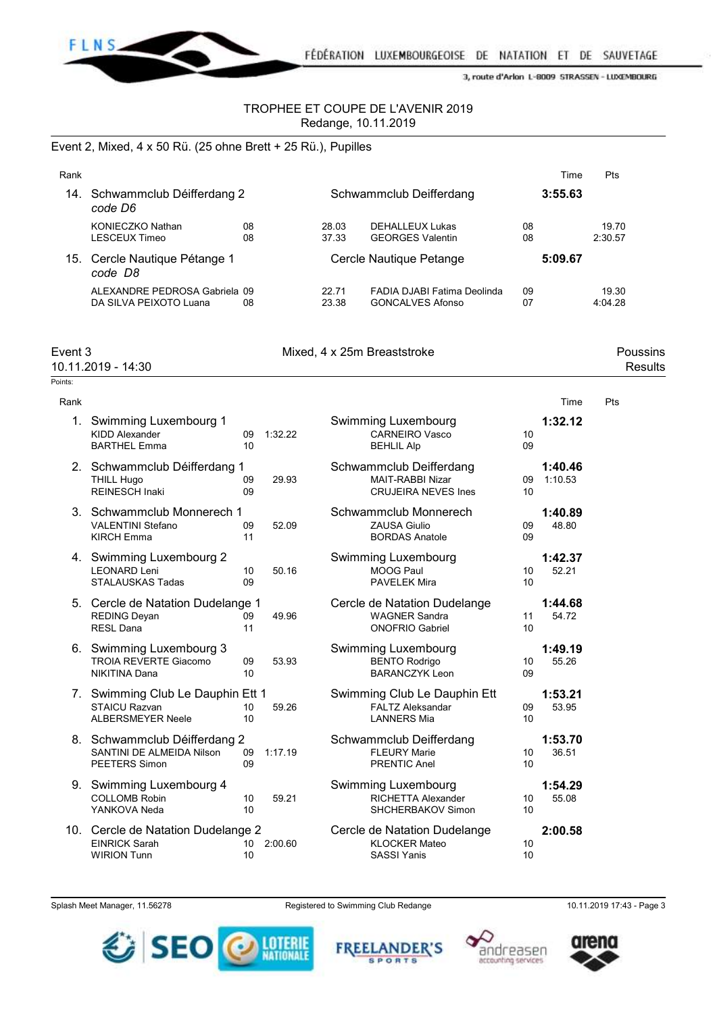

## TROPHEE ET COUPE DE L'AVENIR 2019 Redange, 10.11.2019

## Event 2, Mixed, 4 x 50 Rü. (25 ohne Brett + 25 Rü.), Pupilles

| Rank<br>14. | Schwammclub Déifferdang 2<br>code D6                    |          |                | Schwammclub Deifferdang                         | Time<br>3:55.63 | Pts              |
|-------------|---------------------------------------------------------|----------|----------------|-------------------------------------------------|-----------------|------------------|
|             | KONIECZKO Nathan<br>LESCEUX Timeo                       | 08<br>08 | 28.03<br>37.33 | DEHALLEUX Lukas<br><b>GFORGES Valentin</b>      | 08<br>08        | 19.70<br>2:30.57 |
|             | 15. Cercle Nautique Pétange 1<br>code D8                |          |                | Cercle Nautique Petange                         | 5:09.67         |                  |
|             | ALEXANDRE PEDROSA Gabriela 09<br>DA SILVA PEIXOTO Luana | 08       | 22.71<br>23.38 | FADIA DJABI Fatima Deolinda<br>GONCALVES Afonso | 09<br>07        | 19.30<br>4:04.28 |

| Event 3            | Mixed, 4 x 25m Breaststroke | Poussins |
|--------------------|-----------------------------|----------|
| 10.11.2019 - 14:30 |                             | Results  |
| Points:            |                             |          |

| Rank |                                                                                       |                     |                                                                                  |          | Time               | Pts |
|------|---------------------------------------------------------------------------------------|---------------------|----------------------------------------------------------------------------------|----------|--------------------|-----|
|      | 1. Swimming Luxembourg 1<br><b>KIDD Alexander</b><br><b>BARTHEL Emma</b>              | 1:32.22<br>09<br>10 | Swimming Luxembourg<br><b>CARNEIRO Vasco</b><br><b>BEHLIL Alp</b>                | 10<br>09 | 1:32.12            |     |
|      | 2. Schwammclub Déifferdang 1<br><b>THILL Hugo</b><br><b>REINESCH Inaki</b>            | 29.93<br>09<br>09   | Schwammclub Deifferdang<br><b>MAIT-RABBI Nizar</b><br><b>CRUJEIRA NEVES Ines</b> | 09<br>10 | 1:40.46<br>1:10.53 |     |
|      | 3. Schwammclub Monnerech 1<br><b>VALENTINI Stefano</b><br><b>KIRCH Emma</b>           | 52.09<br>09<br>11   | Schwammclub Monnerech<br><b>ZAUSA Giulio</b><br><b>BORDAS Anatole</b>            | 09<br>09 | 1:40.89<br>48.80   |     |
|      | 4. Swimming Luxembourg 2<br><b>LEONARD Leni</b><br><b>STALAUSKAS Tadas</b>            | 10<br>50.16<br>09   | Swimming Luxembourg<br>MOOG Paul<br><b>PAVELEK Mira</b>                          | 10<br>10 | 1:42.37<br>52.21   |     |
|      | 5. Cercle de Natation Dudelange 1<br>REDING Deyan<br><b>RESL Dana</b>                 | 49.96<br>09<br>11   | Cercle de Natation Dudelange<br><b>WAGNER Sandra</b><br><b>ONOFRIO Gabriel</b>   | 11<br>10 | 1:44.68<br>54.72   |     |
|      | 6. Swimming Luxembourg 3<br><b>TROIA REVERTE Giacomo</b><br><b>NIKITINA Dana</b>      | 53.93<br>09<br>10   | Swimming Luxembourg<br><b>BENTO Rodrigo</b><br><b>BARANCZYK Leon</b>             | 10<br>09 | 1:49.19<br>55.26   |     |
|      | 7. Swimming Club Le Dauphin Ett 1<br><b>STAICU Razvan</b><br><b>ALBERSMEYER Neele</b> | 10<br>59.26<br>10   | Swimming Club Le Dauphin Ett<br><b>FALTZ Aleksandar</b><br><b>LANNERS Mia</b>    | 09<br>10 | 1:53.21<br>53.95   |     |
|      | 8. Schwammclub Déifferdang 2<br>SANTINI DE ALMEIDA Nilson<br><b>PEETERS Simon</b>     | 1:17.19<br>09<br>09 | Schwammclub Deifferdang<br><b>FLEURY Marie</b><br><b>PRENTIC Anel</b>            | 10<br>10 | 1:53.70<br>36.51   |     |
|      | 9. Swimming Luxembourg 4<br><b>COLLOMB Robin</b><br>YANKOVA Neda                      | 59.21<br>10<br>10   | <b>Swimming Luxembourg</b><br><b>RICHETTA Alexander</b><br>SHCHERBAKOV Simon     | 10<br>10 | 1:54.29<br>55.08   |     |
|      | 10. Cercle de Natation Dudelange 2<br><b>EINRICK Sarah</b><br><b>WIRION Tunn</b>      | 2:00.60<br>10<br>10 | Cercle de Natation Dudelange<br><b>KLOCKER Mateo</b><br><b>SASSI Yanis</b>       | 10<br>10 | 2:00.58            |     |
|      |                                                                                       |                     |                                                                                  |          |                    |     |

Splash Meet Manager, 11.56278 Registered to Swimming Club Redange 10.11.2019 17:43 - Page 3



**FREELANDER'S SPORTS** 



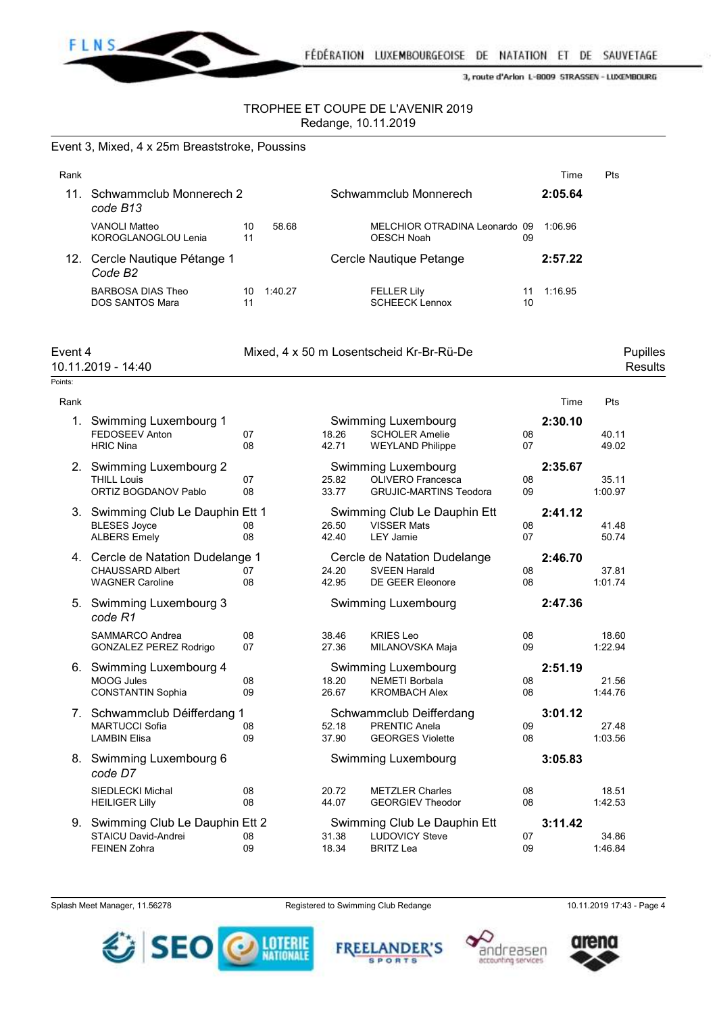

## TROPHEE ET COUPE DE L'AVENIR 2019 Redange, 10.11.2019

|  |  |  | Event 3, Mixed, 4 x 25m Breaststroke, Poussins |  |
|--|--|--|------------------------------------------------|--|
|--|--|--|------------------------------------------------|--|

| Rank |                                                      |          |         |                                             |          | Time    | Pts |
|------|------------------------------------------------------|----------|---------|---------------------------------------------|----------|---------|-----|
| 11   | Schwammclub Monnerech 2<br>code B13                  |          |         | Schwammclub Monnerech                       |          | 2:05.64 |     |
|      | <b>VANOLI Matteo</b><br>KOROGLANOGLOU Lenia          | 10<br>11 | 58.68   | MELCHIOR OTRADINA Leonardo 09<br>OFSCH Noah | 09       | 1:06.96 |     |
|      | 12. Cercle Nautique Pétange 1<br>Code B <sub>2</sub> |          |         | Cercle Nautique Petange                     |          | 2:57.22 |     |
|      | <b>BARBOSA DIAS Theo</b><br><b>DOS SANTOS Mara</b>   | 10<br>11 | 1:40.27 | <b>FELLER Lily</b><br><b>SCHEECK Lennox</b> | 11<br>10 | 1:16.95 |     |

| Event 4            | Mixed, 4 x 50 m Losentscheid Kr-Br-Rü-De | Pupilles |
|--------------------|------------------------------------------|----------|
| 10.11.2019 - 14:40 |                                          | Results  |

Points:

| Rank |                                                                                        |          |                |                                                                                  |          | Time    | Pts              |
|------|----------------------------------------------------------------------------------------|----------|----------------|----------------------------------------------------------------------------------|----------|---------|------------------|
| 1.   | Swimming Luxembourg 1<br>FEDOSEEV Anton<br><b>HRIC Nina</b>                            | 07<br>08 | 18.26<br>42.71 | Swimming Luxembourg<br><b>SCHOLER Amelie</b><br><b>WEYLAND Philippe</b>          | 08<br>07 | 2:30.10 | 40.11<br>49.02   |
|      | 2. Swimming Luxembourg 2<br><b>THILL Louis</b><br><b>ORTIZ BOGDANOV Pablo</b>          | 07<br>08 | 25.82<br>33.77 | Swimming Luxembourg<br><b>OLIVERO Francesca</b><br><b>GRUJIC-MARTINS Teodora</b> | 08<br>09 | 2:35.67 | 35.11<br>1:00.97 |
|      | 3. Swimming Club Le Dauphin Ett 1<br><b>BLESES Joyce</b><br><b>ALBERS Emely</b>        | 08<br>08 | 26.50<br>42.40 | Swimming Club Le Dauphin Ett<br><b>VISSER Mats</b><br><b>LEY Jamie</b>           | 08<br>07 | 2:41.12 | 41.48<br>50.74   |
|      | 4. Cercle de Natation Dudelange 1<br><b>CHAUSSARD Albert</b><br><b>WAGNER Caroline</b> | 07<br>08 | 24.20<br>42.95 | Cercle de Natation Dudelange<br><b>SVEEN Harald</b><br><b>DE GEER Eleonore</b>   | 08<br>08 | 2:46.70 | 37.81<br>1:01.74 |
|      | 5. Swimming Luxembourg 3<br>code R1                                                    |          |                | Swimming Luxembourg                                                              |          | 2:47.36 |                  |
|      | SAMMARCO Andrea<br><b>GONZALEZ PEREZ Rodrigo</b>                                       | 08<br>07 | 38.46<br>27.36 | <b>KRIES Leo</b><br>MILANOVSKA Maja                                              | 08<br>09 |         | 18.60<br>1:22.94 |
|      | 6. Swimming Luxembourg 4<br>MOOG Jules<br><b>CONSTANTIN Sophia</b>                     | 08<br>09 | 18.20<br>26.67 | Swimming Luxembourg<br><b>NEMETI Borbala</b><br><b>KROMBACH Alex</b>             | 08<br>08 | 2:51.19 | 21.56<br>1:44.76 |
|      | 7. Schwammclub Déifferdang 1<br><b>MARTUCCI Sofia</b><br><b>LAMBIN Elisa</b>           | 08<br>09 | 52.18<br>37.90 | Schwammclub Deifferdang<br><b>PRENTIC Anela</b><br><b>GEORGES Violette</b>       | 09<br>08 | 3:01.12 | 27.48<br>1:03.56 |
|      | 8. Swimming Luxembourg 6<br>code D7                                                    |          |                | Swimming Luxembourg                                                              |          | 3:05.83 |                  |
|      | SIEDLECKI Michal<br><b>HEILIGER Lilly</b>                                              | 08<br>08 | 20.72<br>44.07 | <b>METZLER Charles</b><br><b>GEORGIEV Theodor</b>                                | 08<br>08 |         | 18.51<br>1:42.53 |
|      | 9. Swimming Club Le Dauphin Ett 2<br><b>STAICU David-Andrei</b><br><b>FEINEN Zohra</b> | 08<br>09 | 31.38<br>18.34 | Swimming Club Le Dauphin Ett<br><b>LUDOVICY Steve</b><br><b>BRITZ Lea</b>        | 07<br>09 | 3:11.42 | 34.86<br>1:46.84 |

Splash Meet Manager, 11.56278 Registered to Swimming Club Redange 10.11.2019 17:43 - Page 4



**FREELANDER'S SPORTS** 



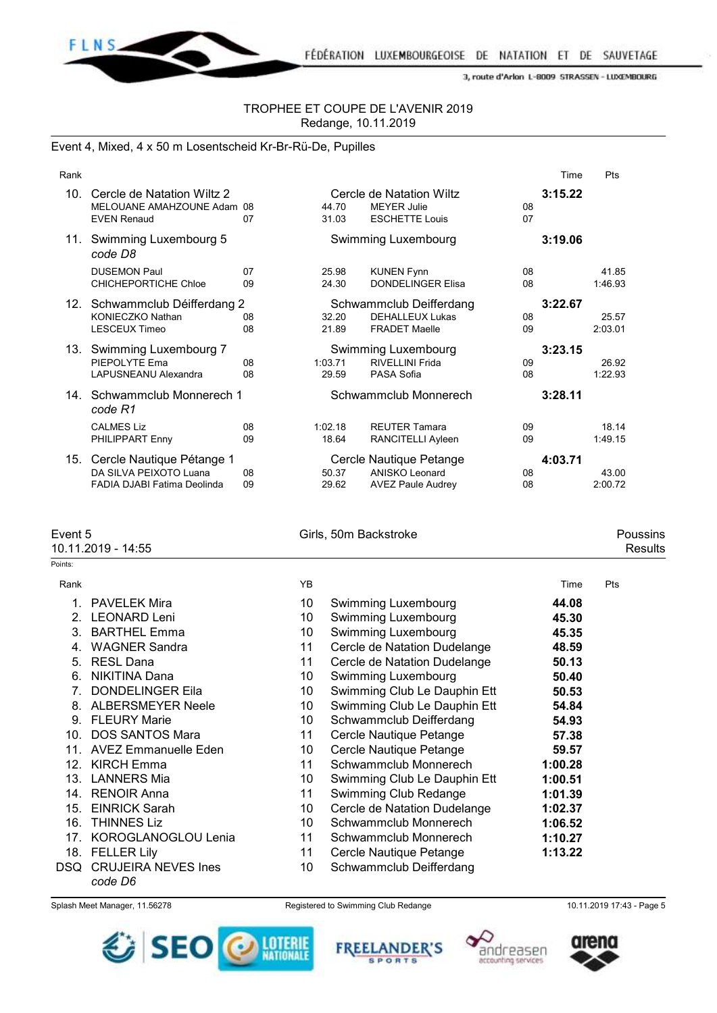

## TROPHEE ET COUPE DE L'AVENIR 2019 Redange, 10.11.2019

## Event 4, Mixed, 4 x 50 m Losentscheid Kr-Br-Rü-De, Pupilles

| Rank            |                                                                                        |          |                  |                                                                           |          | Time    | Pts              |
|-----------------|----------------------------------------------------------------------------------------|----------|------------------|---------------------------------------------------------------------------|----------|---------|------------------|
| 10 <sub>1</sub> | Cercle de Natation Wiltz 2<br>MELOUANE AMAHZOUNE Adam 08<br><b>EVEN Renaud</b>         | 07       | 44.70<br>31.03   | Cercle de Natation Wiltz<br><b>MEYER Julie</b><br><b>ESCHETTE Louis</b>   | 08<br>07 | 3:15.22 |                  |
| 11.             | Swimming Luxembourg 5<br>code D8                                                       |          |                  | Swimming Luxembourg                                                       |          | 3:19.06 |                  |
|                 | <b>DUSEMON Paul</b><br><b>CHICHEPORTICHE Chloe</b>                                     | 07<br>09 | 25.98<br>24.30   | <b>KUNEN Fynn</b><br><b>DONDELINGER Elisa</b>                             | 08<br>08 |         | 41.85<br>1:46.93 |
|                 | 12. Schwammclub Déifferdang 2<br><b>KONIECZKO Nathan</b><br><b>LESCEUX Timeo</b>       | 08<br>08 | 32.20<br>21.89   | Schwammclub Deifferdang<br><b>DEHALLEUX Lukas</b><br><b>FRADET Maelle</b> | 08<br>09 | 3:22.67 | 25.57<br>2:03.01 |
| 13.             | Swimming Luxembourg 7<br>PIFPOI YTF Fma<br>LAPUSNEANU Alexandra                        | 08<br>08 | 1:03.71<br>29.59 | Swimming Luxembourg<br>RIVELLINI Frida<br>PASA Sofia                      | 09<br>08 | 3:23.15 | 26.92<br>1:22.93 |
| 14              | Schwammclub Monnerech 1<br>code R1                                                     |          |                  | Schwammclub Monnerech                                                     |          | 3:28.11 |                  |
|                 | <b>CALMES Liz</b><br>PHILIPPART Enny                                                   | 08<br>09 | 1:02.18<br>18.64 | <b>REUTER Tamara</b><br>RANCITELLI Ayleen                                 | 09<br>09 |         | 18.14<br>1:49.15 |
|                 | 15. Cercle Nautique Pétange 1<br>DA SILVA PEIXOTO Luana<br>FADIA DJABI Fatima Deolinda | 08<br>09 | 50.37<br>29.62   | Cercle Nautique Petange<br>ANISKO Leonard<br><b>AVEZ Paule Audrey</b>     | 08<br>08 | 4:03.71 | 43.00<br>2:00.72 |

| Event 5                        |                                       |                 | Girls, 50m Backstroke        |         |         |  |  |
|--------------------------------|---------------------------------------|-----------------|------------------------------|---------|---------|--|--|
|                                | 10.11.2019 - 14:55                    |                 |                              |         | Results |  |  |
| Points:                        |                                       |                 |                              |         |         |  |  |
| Rank                           |                                       | YB              |                              | Time    | Pts     |  |  |
| 1.                             | <b>PAVELEK Mira</b>                   | 10              | Swimming Luxembourg          | 44.08   |         |  |  |
| $2_{-}$                        | <b>LEONARD Leni</b>                   | 10              | Swimming Luxembourg          | 45.30   |         |  |  |
|                                | 3. BARTHEL Emma                       | 10              | Swimming Luxembourg          | 45.35   |         |  |  |
| 4.                             | <b>WAGNER Sandra</b>                  | 11              | Cercle de Natation Dudelange | 48.59   |         |  |  |
|                                | 5. RESL Dana                          | 11              | Cercle de Natation Dudelange | 50.13   |         |  |  |
| 6.                             | NIKITINA Dana                         | 10              | Swimming Luxembourg          | 50.40   |         |  |  |
| $7_{\scriptscriptstyle{\sim}}$ | <b>DONDELINGER Eila</b>               | 10              | Swimming Club Le Dauphin Ett | 50.53   |         |  |  |
|                                | 8. ALBERSMEYER Neele                  | 10              | Swimming Club Le Dauphin Ett | 54.84   |         |  |  |
|                                | 9. FLEURY Marie                       | 10              | Schwammclub Deifferdang      | 54.93   |         |  |  |
| 10.                            | <b>DOS SANTOS Mara</b>                | 11              | Cercle Nautique Petange      | 57.38   |         |  |  |
| 11.                            | <b>AVEZ Emmanuelle Eden</b>           | 10              | Cercle Nautique Petange      | 59.57   |         |  |  |
| 12.                            | KIRCH Emma                            | 11              | Schwammclub Monnerech        | 1:00.28 |         |  |  |
|                                | 13. LANNERS Mia                       | 10 <sup>°</sup> | Swimming Club Le Dauphin Ett | 1:00.51 |         |  |  |
|                                | 14. RENOIR Anna                       | 11              | Swimming Club Redange        | 1:01.39 |         |  |  |
|                                | 15. EINRICK Sarah                     | 10 <sup>°</sup> | Cercle de Natation Dudelange | 1:02.37 |         |  |  |
|                                | 16. THINNES Liz                       | 10              | Schwammclub Monnerech        | 1:06.52 |         |  |  |
| 17.                            | KOROGLANOGLOU Lenia                   | 11              | Schwammclub Monnerech        | 1:10.27 |         |  |  |
|                                | 18. FELLER Lily                       | 11              | Cercle Nautique Petange      | 1:13.22 |         |  |  |
| DSQ                            | <b>CRUJEIRA NEVES Ines</b><br>code D6 | 10              | Schwammclub Deifferdang      |         |         |  |  |

Splash Meet Manager, 11.56278 Registered to Swimming Club Redange 10.11.2019 17:43 - Page 5









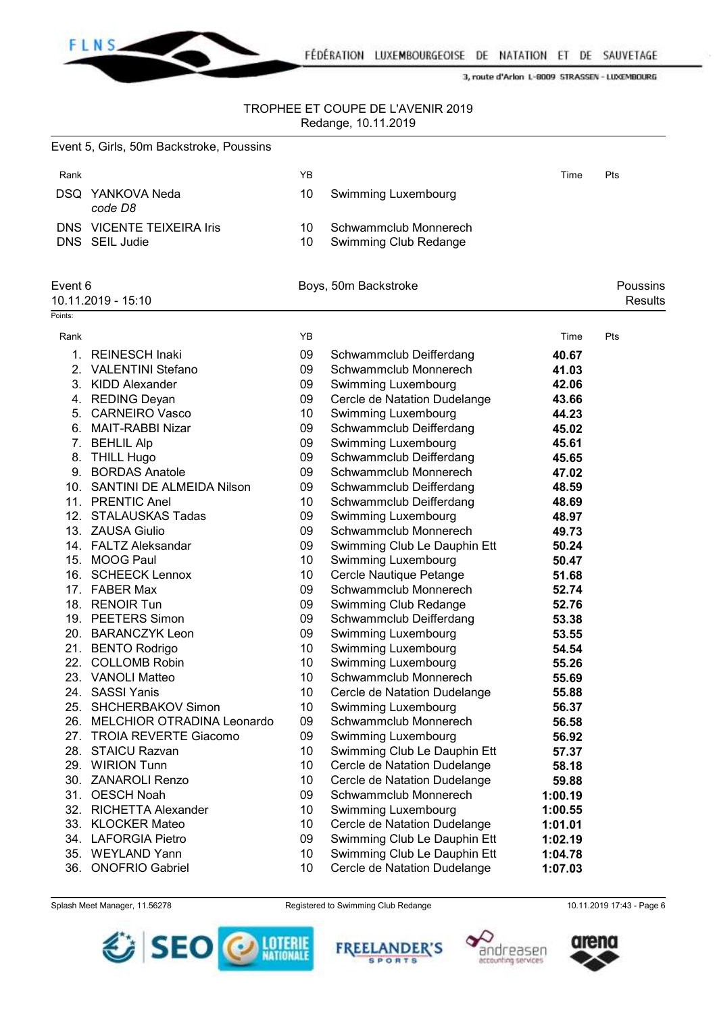

## TROPHEE ET COUPE DE L'AVENIR 2019 Redange, 10.11.2019

|         | Event 5, Girls, 50m Backstroke, Poussins    |                       |                                                  |                |                            |
|---------|---------------------------------------------|-----------------------|--------------------------------------------------|----------------|----------------------------|
| Rank    |                                             | YB                    |                                                  | Time           | Pts                        |
|         | DSQ YANKOVA Neda<br>code D8                 | 10                    | Swimming Luxembourg                              |                |                            |
|         | DNS VICENTE TEIXEIRA Iris<br>DNS SEIL Judie | 10 <sup>°</sup><br>10 | Schwammclub Monnerech<br>Swimming Club Redange   |                |                            |
| Event 6 | 10.11.2019 - 15:10                          |                       | Boys, 50m Backstroke                             |                | Poussins<br><b>Results</b> |
| Points: |                                             |                       |                                                  |                |                            |
| Rank    |                                             | YB                    |                                                  | Time           | Pts                        |
|         | 1. REINESCH Inaki                           | 09                    | Schwammclub Deifferdang                          | 40.67          |                            |
|         | 2. VALENTINI Stefano                        | 09                    | Schwammclub Monnerech                            | 41.03          |                            |
|         | 3. KIDD Alexander                           | 09                    | <b>Swimming Luxembourg</b>                       | 42.06          |                            |
|         | 4. REDING Deyan                             | 09                    | Cercle de Natation Dudelange                     | 43.66          |                            |
|         | 5. CARNEIRO Vasco                           | 10 <sup>°</sup>       | <b>Swimming Luxembourg</b>                       | 44.23          |                            |
|         | 6. MAIT-RABBI Nizar                         | 09                    | Schwammclub Deifferdang                          | 45.02          |                            |
|         | 7. BEHLIL Alp                               | 09                    | Swimming Luxembourg                              | 45.61          |                            |
|         | 8. THILL Hugo                               | 09                    | Schwammclub Deifferdang                          | 45.65          |                            |
|         | 9. BORDAS Anatole                           | 09                    | Schwammclub Monnerech                            | 47.02          |                            |
|         | 10. SANTINI DE ALMEIDA Nilson               | 09                    | Schwammclub Deifferdang                          | 48.59          |                            |
|         | 11. PRENTIC Anel                            | 10                    | Schwammclub Deifferdang                          | 48.69          |                            |
|         | 12. STALAUSKAS Tadas                        | 09                    | Swimming Luxembourg                              | 48.97          |                            |
|         | 13. ZAUSA Giulio                            | 09                    | Schwammclub Monnerech                            | 49.73          |                            |
|         | 14. FALTZ Aleksandar                        | 09                    | Swimming Club Le Dauphin Ett                     | 50.24          |                            |
|         | 15. MOOG Paul<br>16. SCHEECK Lennox         | 10                    | <b>Swimming Luxembourg</b>                       | 50.47          |                            |
|         | 17. FABER Max                               | 10                    | Cercle Nautique Petange                          | 51.68          |                            |
|         | 18. RENOIR Tun                              | 09<br>09              | Schwammclub Monnerech                            | 52.74          |                            |
|         | 19. PEETERS Simon                           | 09                    | Swimming Club Redange<br>Schwammclub Deifferdang | 52.76<br>53.38 |                            |
|         | 20. BARANCZYK Leon                          | 09                    | Swimming Luxembourg                              | 53.55          |                            |
|         | 21. BENTO Rodrigo                           | 10                    | Swimming Luxembourg                              | 54.54          |                            |
|         | 22. COLLOMB Robin                           | 10                    | Swimming Luxembourg                              | 55.26          |                            |
|         | 23. VANOLI Matteo                           | 10 <sup>°</sup>       | Schwammclub Monnerech                            | 55.69          |                            |
|         | 24. SASSI Yanis                             | 10                    | Cercle de Natation Dudelange                     | 55.88          |                            |
|         | 25. SHCHERBAKOV Simon                       | 10                    | Swimming Luxembourg                              | 56.37          |                            |
|         | 26. MELCHIOR OTRADINA Leonardo              | 09                    | Schwammclub Monnerech                            | 56.58          |                            |
|         | 27. TROIA REVERTE Giacomo                   | 09                    | Swimming Luxembourg                              | 56.92          |                            |
|         | 28. STAICU Razvan                           | 10 <sup>°</sup>       | Swimming Club Le Dauphin Ett                     | 57.37          |                            |
|         | 29. WIRION Tunn                             | 10 <sup>°</sup>       | Cercle de Natation Dudelange                     | 58.18          |                            |
|         | 30. ZANAROLI Renzo                          | 10 <sup>°</sup>       | Cercle de Natation Dudelange                     | 59.88          |                            |
|         | 31. OESCH Noah                              | 09                    | Schwammclub Monnerech                            | 1:00.19        |                            |
|         | 32. RICHETTA Alexander                      | 10 <sup>°</sup>       | Swimming Luxembourg                              | 1:00.55        |                            |
|         | 33. KLOCKER Mateo                           | 10 <sup>°</sup>       | Cercle de Natation Dudelange                     | 1:01.01        |                            |
|         | 34. LAFORGIA Pietro                         | 09                    | Swimming Club Le Dauphin Ett                     | 1:02.19        |                            |
|         | 35. WEYLAND Yann                            | 10 <sup>°</sup>       | Swimming Club Le Dauphin Ett                     | 1:04.78        |                            |
|         | 36. ONOFRIO Gabriel                         | 10                    | Cercle de Natation Dudelange                     | 1:07.03        |                            |









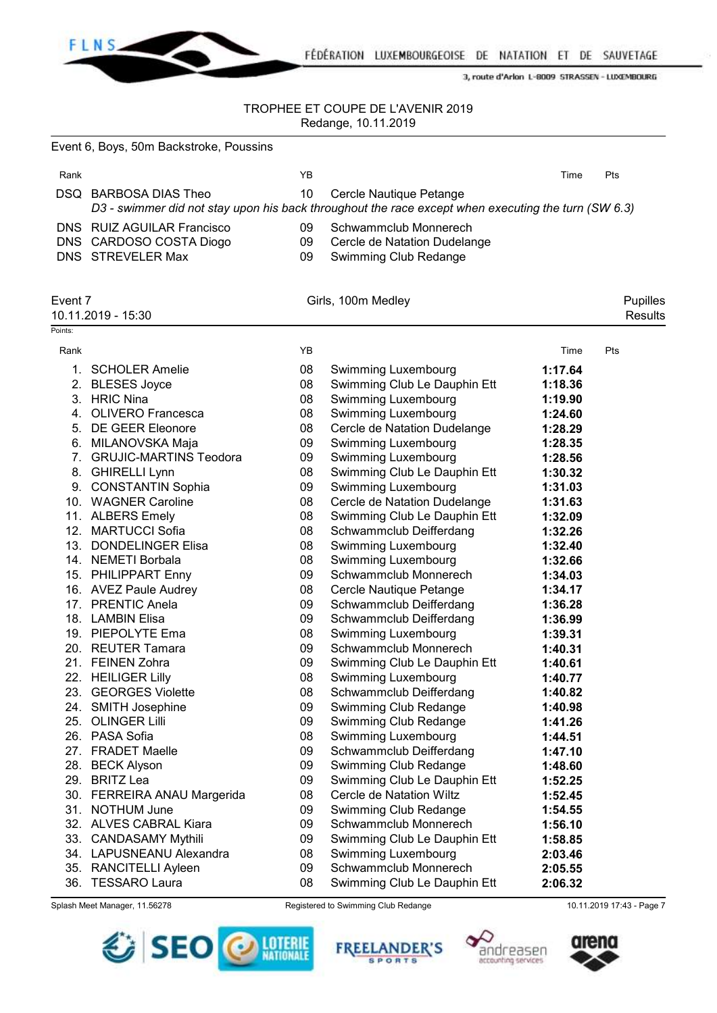FÉDÉRATION LUXEMBOURGEOISE DE NATATION ET DE SAUVETAGE

3, route d'Arlon L-8009 STRASSEN - LUXEMBOURG

## TROPHEE ET COUPE DE L'AVENIR 2019 Redange, 10.11.2019

|         | Event 6, Boys, 50m Backstroke, Poussins                                    |                |                                                                                                                                |                    |                     |
|---------|----------------------------------------------------------------------------|----------------|--------------------------------------------------------------------------------------------------------------------------------|--------------------|---------------------|
| Rank    |                                                                            | YB             |                                                                                                                                | Time               | Pts                 |
|         | DSQ BARBOSA DIAS Theo                                                      | 10             | Cercle Nautique Petange<br>D3 - swimmer did not stay upon his back throughout the race except when executing the turn (SW 6.3) |                    |                     |
|         | DNS RUIZ AGUILAR Francisco<br>DNS CARDOSO COSTA Diogo<br>DNS STREVELER Max | 09<br>09<br>09 | Schwammclub Monnerech<br>Cercle de Natation Dudelange<br>Swimming Club Redange                                                 |                    |                     |
| Event 7 | 10.11.2019 - 15:30                                                         |                | Girls, 100m Medley                                                                                                             |                    | Pupilles<br>Results |
| Points: |                                                                            |                |                                                                                                                                |                    |                     |
| Rank    |                                                                            | YB             |                                                                                                                                | Time               | Pts                 |
|         | 1. SCHOLER Amelie<br>2. BLESES Joyce                                       | 08<br>08       | Swimming Luxembourg<br>Swimming Club Le Dauphin Ett                                                                            | 1:17.64<br>1:18.36 |                     |
|         | 3. HRIC Nina                                                               | 08             | Swimming Luxembourg                                                                                                            | 1:19.90            |                     |
|         | 4. OLIVERO Francesca<br>5. DE GEER Eleonore                                | 08<br>08       | Swimming Luxembourg<br>Cercle de Natation Dudelange                                                                            | 1:24.60<br>1:28.29 |                     |
|         | 6. MILANOVSKA Maja                                                         | 09             | Swimming Luxembourg                                                                                                            | 1:28.35            |                     |
|         | 7. GRUJIC-MARTINS Teodora                                                  | 09             | Swimming Luxembourg                                                                                                            | 1:28.56            |                     |
|         | 8. GHIRELLI Lynn                                                           | 08             | Swimming Club Le Dauphin Ett                                                                                                   | 1:30.32            |                     |
|         | 9. CONSTANTIN Sophia                                                       | 09             | Swimming Luxembourg                                                                                                            | 1:31.03            |                     |
|         | 10. WAGNER Caroline                                                        | 08             | Cercle de Natation Dudelange                                                                                                   | 1:31.63            |                     |
|         | 11. ALBERS Emely                                                           | 08             | Swimming Club Le Dauphin Ett                                                                                                   | 1:32.09            |                     |
|         | 12. MARTUCCI Sofia                                                         | 08             | Schwammclub Deifferdang                                                                                                        | 1:32.26            |                     |
|         | 13. DONDELINGER Elisa                                                      | 08             | Swimming Luxembourg                                                                                                            | 1:32.40            |                     |
|         | 14. NEMETI Borbala                                                         | 08             | Swimming Luxembourg                                                                                                            | 1:32.66            |                     |
|         | 15. PHILIPPART Enny                                                        | 09             | Schwammclub Monnerech                                                                                                          | 1:34.03            |                     |
|         | 16. AVEZ Paule Audrey                                                      | 08             | Cercle Nautique Petange                                                                                                        | 1:34.17            |                     |
|         | 17. PRENTIC Anela                                                          | 09             | Schwammclub Deifferdang                                                                                                        | 1:36.28            |                     |
|         | 18. LAMBIN Elisa                                                           | 09             | Schwammclub Deifferdang                                                                                                        | 1:36.99            |                     |
|         | 19. PIEPOLYTE Ema                                                          | 08             | Swimming Luxembourg                                                                                                            | 1:39.31            |                     |
|         | 20. REUTER Tamara                                                          | 09             | Schwammclub Monnerech                                                                                                          | 1:40.31            |                     |
|         | 21. FEINEN Zohra                                                           | 09             | Swimming Club Le Dauphin Ett                                                                                                   | 1:40.61            |                     |
|         | 22. HEILIGER Lilly                                                         | 08             | Swimming Luxembourg                                                                                                            | 1:40.77            |                     |
|         | 23. GEORGES Violette                                                       | 08             | Schwammclub Deifferdang                                                                                                        | 1:40.82            |                     |
|         | 24. SMITH Josephine                                                        | 09             | Swimming Club Redange                                                                                                          | 1:40.98            |                     |
|         | 25. OLINGER Lilli                                                          | 09             | Swimming Club Redange                                                                                                          | 1:41.26            |                     |
|         | 26. PASA Sofia                                                             | 08             | Swimming Luxembourg                                                                                                            | 1:44.51            |                     |
|         | 27. FRADET Maelle                                                          | 09             | Schwammclub Deifferdang                                                                                                        | 1:47.10            |                     |
| 28.     | <b>BECK Alyson</b>                                                         | 09             | Swimming Club Redange                                                                                                          | 1:48.60            |                     |
|         | 29. BRITZ Lea                                                              | 09             | Swimming Club Le Dauphin Ett                                                                                                   | 1:52.25            |                     |
|         | 30. FERREIRA ANAU Margerida                                                | 08             | Cercle de Natation Wiltz                                                                                                       | 1:52.45            |                     |
| 31.     | NOTHUM June<br>32. ALVES CABRAL Kiara                                      | 09             | Swimming Club Redange                                                                                                          | 1:54.55            |                     |
|         | 33. CANDASAMY Mythili                                                      | 09             | Schwammclub Monnerech                                                                                                          | 1:56.10            |                     |
| 34.     | LAPUSNEANU Alexandra                                                       | 09<br>08       | Swimming Club Le Dauphin Ett<br>Swimming Luxembourg                                                                            | 1:58.85<br>2:03.46 |                     |
|         | 35. RANCITELLI Ayleen                                                      | 09             | Schwammclub Monnerech                                                                                                          | 2:05.55            |                     |
| 36.     | <b>TESSARO Laura</b>                                                       | 08             | Swimming Club Le Dauphin Ett                                                                                                   | 2:06.32            |                     |
|         |                                                                            |                |                                                                                                                                |                    |                     |

Splash Meet Manager, 11.56278 Registered to Swimming Club Redange 10.11.2019 17:43 - Page 7

FLNS.



**FREELANDER'S** 



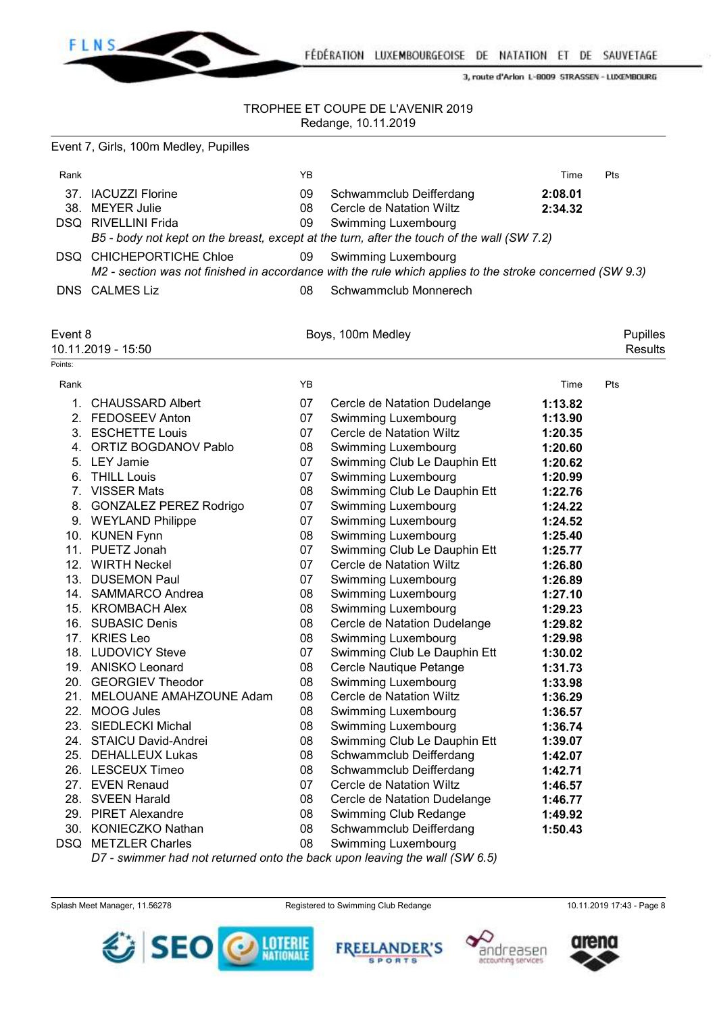FLNS.

FÉDÉRATION LUXEMBOURGEOISE DE NATATION ET DE SAUVETAGE

3, route d'Arlon L-8009 STRASSEN - LUXEMBOURG

## TROPHEE ET COUPE DE L'AVENIR 2019 Redange, 10.11.2019

Event 7, Girls, 100m Medley, Pupilles

| Rank    |                                                                            | YB |                                                                                                                                 | Time    | Pts             |
|---------|----------------------------------------------------------------------------|----|---------------------------------------------------------------------------------------------------------------------------------|---------|-----------------|
|         | 37. IACUZZI Florine                                                        | 09 | Schwammclub Deifferdang                                                                                                         | 2:08.01 |                 |
|         | 38. MEYER Julie                                                            | 08 | Cercle de Natation Wiltz                                                                                                        | 2:34.32 |                 |
|         | DSQ RIVELLINI Frida                                                        | 09 | Swimming Luxembourg                                                                                                             |         |                 |
|         |                                                                            |    | B5 - body not kept on the breast, except at the turn, after the touch of the wall (SW 7.2)                                      |         |                 |
|         | DSQ CHICHEPORTICHE Chloe                                                   | 09 | Swimming Luxembourg<br>M2 - section was not finished in accordance with the rule which applies to the stroke concerned (SW 9.3) |         |                 |
|         | DNS CALMES Liz                                                             | 08 | Schwammclub Monnerech                                                                                                           |         |                 |
|         |                                                                            |    |                                                                                                                                 |         |                 |
| Event 8 |                                                                            |    | Boys, 100m Medley                                                                                                               |         | <b>Pupilles</b> |
|         | 10.11.2019 - 15:50                                                         |    |                                                                                                                                 |         | Results         |
| Points: |                                                                            |    |                                                                                                                                 |         |                 |
| Rank    |                                                                            | YB |                                                                                                                                 | Time    | Pts             |
|         | 1. CHAUSSARD Albert                                                        | 07 | Cercle de Natation Dudelange                                                                                                    | 1:13.82 |                 |
|         | 2. FEDOSEEV Anton                                                          | 07 | Swimming Luxembourg                                                                                                             | 1:13.90 |                 |
|         | 3. ESCHETTE Louis                                                          | 07 | Cercle de Natation Wiltz                                                                                                        | 1:20.35 |                 |
|         | 4. ORTIZ BOGDANOV Pablo                                                    | 08 | Swimming Luxembourg                                                                                                             | 1:20.60 |                 |
|         | 5. LEY Jamie                                                               | 07 | Swimming Club Le Dauphin Ett                                                                                                    | 1:20.62 |                 |
|         | 6. THILL Louis                                                             | 07 | Swimming Luxembourg                                                                                                             | 1:20.99 |                 |
|         | 7. VISSER Mats                                                             | 08 | Swimming Club Le Dauphin Ett                                                                                                    | 1:22.76 |                 |
|         | 8. GONZALEZ PEREZ Rodrigo                                                  | 07 | Swimming Luxembourg                                                                                                             | 1:24.22 |                 |
|         | 9. WEYLAND Philippe                                                        | 07 | Swimming Luxembourg                                                                                                             | 1:24.52 |                 |
|         | 10. KUNEN Fynn                                                             | 08 | Swimming Luxembourg                                                                                                             | 1:25.40 |                 |
|         | 11. PUETZ Jonah                                                            | 07 | Swimming Club Le Dauphin Ett                                                                                                    | 1:25.77 |                 |
|         | 12. WIRTH Neckel                                                           | 07 | Cercle de Natation Wiltz                                                                                                        | 1:26.80 |                 |
|         | 13. DUSEMON Paul                                                           | 07 | Swimming Luxembourg                                                                                                             | 1:26.89 |                 |
|         | 14. SAMMARCO Andrea                                                        | 08 | Swimming Luxembourg                                                                                                             | 1:27.10 |                 |
|         | 15. KROMBACH Alex                                                          | 08 | Swimming Luxembourg                                                                                                             | 1:29.23 |                 |
|         | 16. SUBASIC Denis                                                          | 08 | Cercle de Natation Dudelange                                                                                                    | 1:29.82 |                 |
|         | 17. KRIES Leo                                                              | 08 | Swimming Luxembourg                                                                                                             | 1:29.98 |                 |
|         | 18. LUDOVICY Steve                                                         | 07 | Swimming Club Le Dauphin Ett                                                                                                    | 1:30.02 |                 |
|         | 19. ANISKO Leonard                                                         | 08 | Cercle Nautique Petange                                                                                                         | 1:31.73 |                 |
|         | 20. GEORGIEV Theodor                                                       | 08 | Swimming Luxembourg                                                                                                             | 1:33.98 |                 |
|         | 21. MELOUANE AMAHZOUNE Adam                                                | 08 | Cercle de Natation Wiltz                                                                                                        | 1:36.29 |                 |
|         | 22. MOOG Jules                                                             | 08 | Swimming Luxembourg                                                                                                             | 1:36.57 |                 |
|         | 23. SIEDLECKI Michal                                                       | 08 | Swimming Luxembourg                                                                                                             | 1:36.74 |                 |
|         | 24. STAICU David-Andrei                                                    | 08 | Swimming Club Le Dauphin Ett                                                                                                    | 1:39.07 |                 |
|         | 25. DEHALLEUX Lukas                                                        | 08 | Schwammclub Deifferdang                                                                                                         | 1:42.07 |                 |
|         | 26. LESCEUX Timeo                                                          | 08 | Schwammclub Deifferdang                                                                                                         | 1:42.71 |                 |
|         | 27. EVEN Renaud                                                            | 07 | Cercle de Natation Wiltz                                                                                                        | 1:46.57 |                 |
|         | 28. SVEEN Harald                                                           | 08 | Cercle de Natation Dudelange                                                                                                    | 1:46.77 |                 |
|         | 29. PIRET Alexandre                                                        | 08 | Swimming Club Redange                                                                                                           | 1:49.92 |                 |
|         | 30. KONIECZKO Nathan                                                       | 08 | Schwammclub Deifferdang                                                                                                         | 1:50.43 |                 |
|         | DSQ METZLER Charles                                                        | 08 | Swimming Luxembourg                                                                                                             |         |                 |
|         | D7 - swimmer had not returned onto the back upon leaving the wall (SW 6.5) |    |                                                                                                                                 |         |                 |





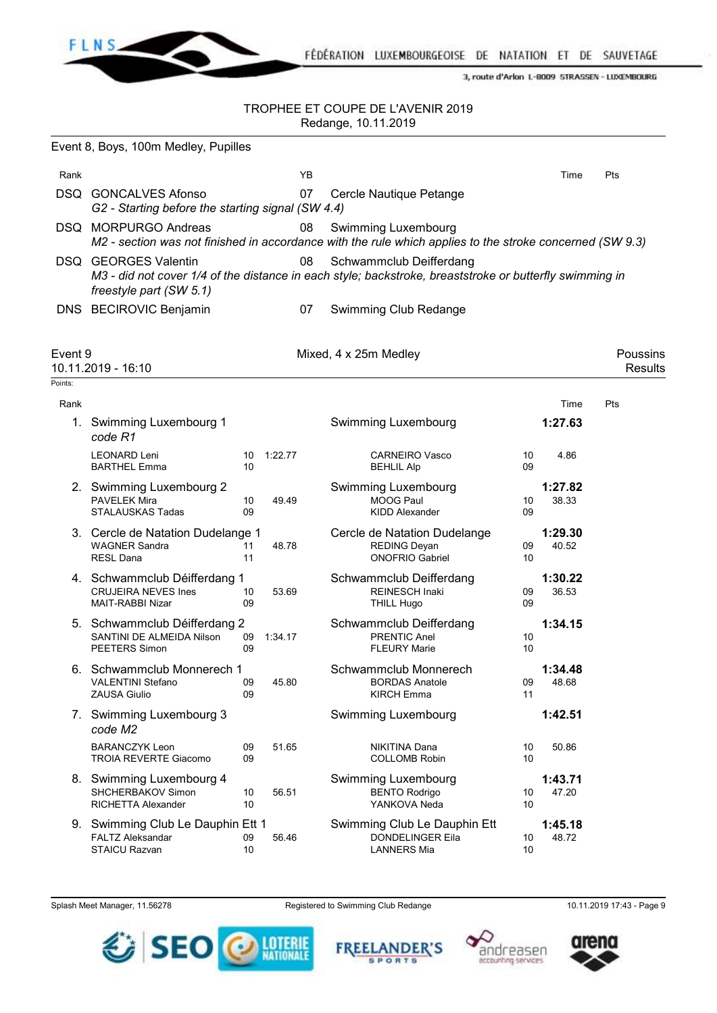

FÉDÉRATION LUXEMBOURGEOISE DE NATATION ET DE SAUVETAGE

3, route d'Arlon L-8009 STRASSEN - LUXEMBOURG

## TROPHEE ET COUPE DE L'AVENIR 2019 Redange, 10.11.2019

|         | Event 8, Boys, 100m Medley, Pupilles                                                 |                       |         |                                                                                                                                    |          |                     |                     |
|---------|--------------------------------------------------------------------------------------|-----------------------|---------|------------------------------------------------------------------------------------------------------------------------------------|----------|---------------------|---------------------|
| Rank    |                                                                                      |                       | ΥB      |                                                                                                                                    |          | Time                | Pts                 |
|         | <b>DSQ GONCALVES Afonso</b><br>G2 - Starting before the starting signal (SW 4.4)     |                       | 07      | Cercle Nautique Petange                                                                                                            |          |                     |                     |
|         | DSQ MORPURGO Andreas                                                                 |                       | 08      | Swimming Luxembourg<br>M2 - section was not finished in accordance with the rule which applies to the stroke concerned (SW 9.3)    |          |                     |                     |
|         | <b>DSQ GEORGES Valentin</b><br>freestyle part (SW 5.1)                               |                       | 08      | Schwammclub Deifferdang<br>M3 - did not cover 1/4 of the distance in each style; backstroke, breaststroke or butterfly swimming in |          |                     |                     |
|         | DNS BECIROVIC Benjamin                                                               |                       | 07      | Swimming Club Redange                                                                                                              |          |                     |                     |
| Event 9 | 10.11.2019 - 16:10                                                                   |                       |         | Mixed, 4 x 25m Medley                                                                                                              |          |                     | Poussins<br>Results |
| Points: |                                                                                      |                       |         |                                                                                                                                    |          |                     |                     |
| Rank    |                                                                                      |                       |         |                                                                                                                                    |          | Time                | Pts                 |
|         | 1. Swimming Luxembourg 1<br>code R1                                                  |                       |         | Swimming Luxembourg                                                                                                                |          | 1:27.63             |                     |
|         | <b>LEONARD Leni</b><br><b>BARTHEL Emma</b>                                           | 10<br>10              | 1:22.77 | <b>CARNEIRO Vasco</b><br><b>BEHLIL Alp</b>                                                                                         | 10<br>09 | 4.86                |                     |
|         | 2. Swimming Luxembourg 2<br><b>PAVELEK Mira</b><br>STALAUSKAS Tadas                  | 10<br>09              | 49.49   | Swimming Luxembourg<br><b>MOOG Paul</b><br><b>KIDD Alexander</b>                                                                   | 10<br>09 | 1:27.82<br>38.33    |                     |
|         | 3. Cercle de Natation Dudelange 1<br><b>WAGNER Sandra</b><br>RESL Dana               | 11<br>11              | 48.78   | Cercle de Natation Dudelange<br><b>REDING Deyan</b><br><b>ONOFRIO Gabriel</b>                                                      | 09<br>10 | 1:29.30<br>40.52    |                     |
|         | 4. Schwammclub Déifferdang 1<br><b>CRUJEIRA NEVES Ines</b><br>MAIT-RABBI Nizar       | 10<br>09              | 53.69   | Schwammclub Deifferdang<br><b>REINESCH Inaki</b><br><b>THILL Hugo</b>                                                              | 09<br>09 | 1:30.22<br>36.53    |                     |
|         | 5. Schwammclub Déifferdang 2<br>SANTINI DE ALMEIDA Nilson<br>PEETERS Simon           | 09<br>09              | 1:34.17 | Schwammclub Deifferdang<br><b>PRENTIC Anel</b><br><b>FLEURY Marie</b>                                                              | 10<br>10 | 1:34.15             |                     |
|         | 6. Schwammclub Monnerech 1<br>VALENTINI Stefano<br><b>ZAUSA Giulio</b>               | 09<br>09              | 45.80   | Schwammclub Monnerech<br><b>BORDAS Anatole</b><br><b>KIRCH Emma</b>                                                                | 11       | 1:34.48<br>09 48.68 |                     |
|         | 7. Swimming Luxembourg 3<br>code M2                                                  |                       |         | Swimming Luxembourg                                                                                                                |          | 1:42.51             |                     |
|         | <b>BARANCZYK Leon</b><br><b>TROIA REVERTE Giacomo</b>                                | 09<br>09              | 51.65   | NIKITINA Dana<br><b>COLLOMB Robin</b>                                                                                              | 10<br>10 | 50.86               |                     |
|         | 8. Swimming Luxembourg 4<br>SHCHERBAKOV Simon<br>RICHETTA Alexander                  | 10<br>10              | 56.51   | Swimming Luxembourg<br><b>BENTO Rodrigo</b><br>YANKOVA Neda                                                                        | 10<br>10 | 1:43.71<br>47.20    |                     |
|         | 9. Swimming Club Le Dauphin Ett 1<br><b>FALTZ Aleksandar</b><br><b>STAICU Razvan</b> | 09<br>10 <sup>°</sup> | 56.46   | Swimming Club Le Dauphin Ett<br>DONDELINGER Eila<br><b>LANNERS Mia</b>                                                             | 10<br>10 | 1:45.18<br>48.72    |                     |

Splash Meet Manager, 11.56278 Registered to Swimming Club Redange 10.11.2019 17:43 - Page 9

**FREELANDER'S** 





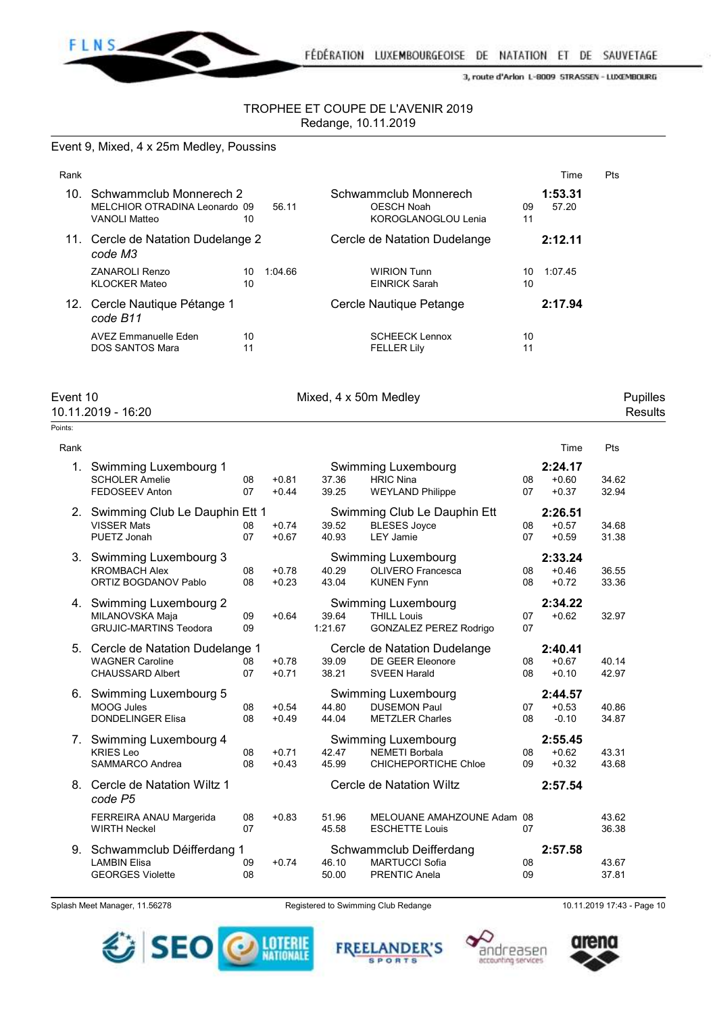

## TROPHEE ET COUPE DE L'AVENIR 2019 Redange, 10.11.2019

## Event 9, Mixed, 4 x 25m Medley, Poussins

| Rank     |                                                                                        |          |                    |                       |                                                                             |          | Time                          | Pts                        |
|----------|----------------------------------------------------------------------------------------|----------|--------------------|-----------------------|-----------------------------------------------------------------------------|----------|-------------------------------|----------------------------|
|          | 10. Schwammclub Monnerech 2<br>MELCHIOR OTRADINA Leonardo 09<br><b>VANOLI Matteo</b>   | 10       | 56.11              |                       | Schwammclub Monnerech<br><b>OESCH Noah</b><br>KOROGLANOGLOU Lenia           | 09<br>11 | 1:53.31<br>57.20              |                            |
|          | 11. Cercle de Natation Dudelange 2<br>code M3                                          |          |                    |                       | Cercle de Natation Dudelange                                                |          | 2:12.11                       |                            |
|          | <b>ZANAROLI Renzo</b><br><b>KLOCKER Mateo</b>                                          | 10<br>10 | 1:04.66            |                       | <b>WIRION Tunn</b><br><b>EINRICK Sarah</b>                                  | 10<br>10 | 1:07.45                       |                            |
|          | 12. Cercle Nautique Pétange 1<br>code B11                                              |          |                    |                       | Cercle Nautique Petange                                                     |          | 2:17.94                       |                            |
|          | <b>AVEZ Emmanuelle Eden</b><br>DOS SANTOS Mara                                         | 10<br>11 |                    |                       | <b>SCHEECK Lennox</b><br><b>FELLER Lily</b>                                 | 10<br>11 |                               |                            |
| Event 10 | 10.11.2019 - 16:20                                                                     |          |                    | Mixed, 4 x 50m Medley |                                                                             |          |                               | Pupilles<br><b>Results</b> |
| Points:  |                                                                                        |          |                    |                       |                                                                             |          |                               |                            |
| Rank     |                                                                                        |          |                    |                       |                                                                             |          | Time                          | Pts                        |
|          | 1. Swimming Luxembourg 1<br><b>SCHOLER Amelie</b><br>FEDOSEEV Anton                    | 08<br>07 | $+0.81$<br>$+0.44$ | 37.36<br>39.25        | <b>Swimming Luxembourg</b><br><b>HRIC Nina</b><br><b>WEYLAND Philippe</b>   | 08<br>07 | 2:24.17<br>$+0.60$<br>$+0.37$ | 34.62<br>32.94             |
|          | 2. Swimming Club Le Dauphin Ett 1<br><b>VISSER Mats</b><br>PUETZ Jonah                 | 08<br>07 | $+0.74$<br>$+0.67$ | 39.52<br>40.93        | Swimming Club Le Dauphin Ett<br><b>BLESES</b> Joyce<br><b>LEY Jamie</b>     | 08<br>07 | 2:26.51<br>$+0.57$<br>$+0.59$ | 34.68<br>31.38             |
|          | 3. Swimming Luxembourg 3<br><b>KROMBACH Alex</b><br>ORTIZ BOGDANOV Pablo               | 08<br>08 | $+0.78$<br>$+0.23$ | 40.29<br>43.04        | Swimming Luxembourg<br><b>OLIVERO Francesca</b><br><b>KUNEN Fynn</b>        | 08<br>08 | 2:33.24<br>$+0.46$<br>$+0.72$ | 36.55<br>33.36             |
|          | 4. Swimming Luxembourg 2<br>MILANOVSKA Maja<br><b>GRUJIC-MARTINS Teodora</b>           | 09<br>09 | $+0.64$            | 39.64<br>1:21.67      | Swimming Luxembourg<br><b>THILL Louis</b><br><b>GONZALEZ PEREZ Rodrigo</b>  | 07<br>07 | 2:34.22<br>$+0.62$            | 32.97                      |
|          | 5. Cercle de Natation Dudelange 1<br><b>WAGNER Caroline</b><br><b>CHAUSSARD Albert</b> | 08<br>07 | $+0.78$<br>$+0.71$ | 39.09<br>38.21        | Cercle de Natation Dudelange<br>DE GEER Eleonore<br><b>SVEEN Harald</b>     | 08<br>08 | 2:40.41<br>$+0.67$<br>$+0.10$ | 40.14<br>42.97             |
|          | 6. Swimming Luxembourg 5<br>MOOG Jules<br><b>DONDELINGER Elisa</b>                     | 08<br>08 | $+0.54$<br>$+0.49$ | 44.80<br>44.04        | Swimming Luxembourg<br><b>DUSEMON Paul</b><br><b>METZLER Charles</b>        | 07<br>08 | 2:44.57<br>$+0.53$<br>$-0.10$ | 40.86<br>34.87             |
|          | 7. Swimming Luxembourg 4<br><b>KRIES Leo</b><br>SAMMARCO Andrea                        | 08<br>08 | $+0.71$<br>$+0.43$ | 42.47<br>45.99        | Swimming Luxembourg<br><b>NEMETI Borbala</b><br><b>CHICHEPORTICHE Chloe</b> | 08<br>09 | 2:55.45<br>$+0.62$<br>$+0.32$ | 43.31<br>43.68             |
|          |                                                                                        |          |                    |                       |                                                                             |          |                               |                            |

| 8. Cercle de Natation Wiltz 1<br>code P5 |    |         |       | Cercle de Natation Wiltz   | 2:57.54 |       |
|------------------------------------------|----|---------|-------|----------------------------|---------|-------|
| FERREIRA ANAU Margerida                  | 08 | $+0.83$ | 51.96 | MELOUANE AMAHZOUNE Adam 08 |         | 43.62 |
| <b>WIRTH Neckel</b>                      | 07 |         | 45.58 | <b>ESCHETTE Louis</b>      | 07      | 36.38 |
| 9. Schwammclub Déifferdang 1             |    |         |       | Schwammclub Deifferdang    | 2:57.58 |       |
| <b>LAMBIN Elisa</b>                      | 09 | $+0.74$ | 46.10 | <b>MARTUCCI Sofia</b>      | 08      | 43.67 |
| <b>GEORGES Violette</b>                  | 08 |         | 50.00 | <b>PRENTIC Anela</b>       | 09      | 37.81 |

Splash Meet Manager, 11.56278 **Registered to Swimming Club Redange** 10.11.2019 17:43 - Page 10





**FREELANDER'S SPORTS** 



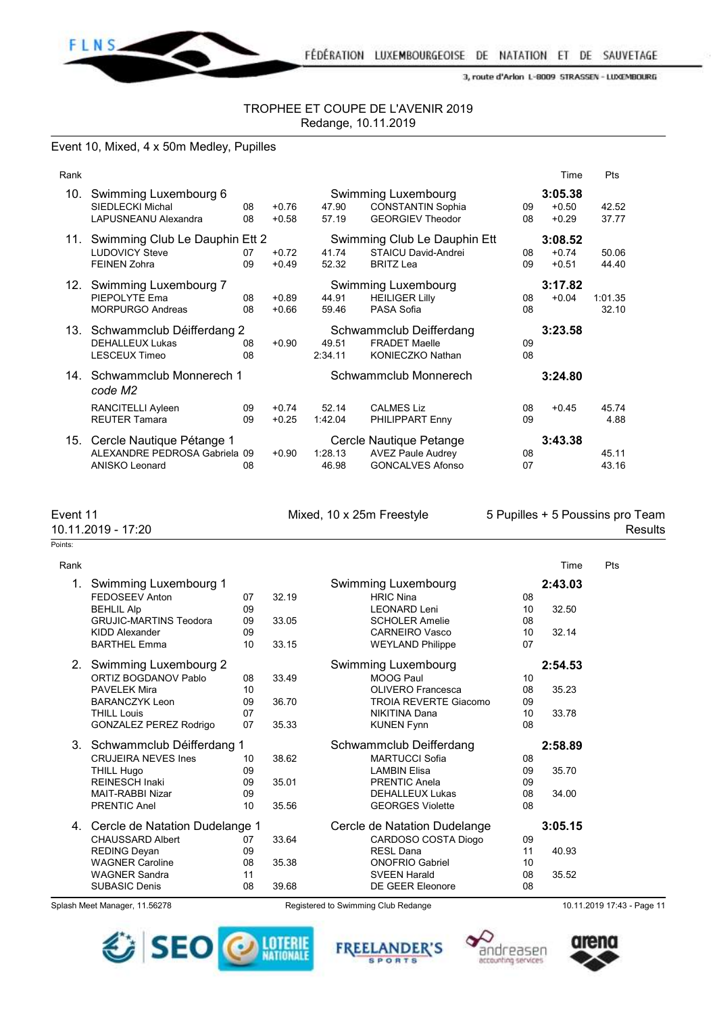

## TROPHEE ET COUPE DE L'AVENIR 2019 Redange, 10.11.2019

## Event 10, Mixed, 4 x 50m Medley, Pupilles

| Rank |                                                                                  |          |                    |                  |                                                                                |          | Time                          | <b>Pts</b>       |
|------|----------------------------------------------------------------------------------|----------|--------------------|------------------|--------------------------------------------------------------------------------|----------|-------------------------------|------------------|
| 10.  | Swimming Luxembourg 6<br>SIEDLECKI Michal<br>LAPUSNEANU Alexandra                | 08<br>08 | $+0.76$<br>$+0.58$ | 47.90<br>57.19   | Swimming Luxembourg<br><b>CONSTANTIN Sophia</b><br><b>GEORGIEV Theodor</b>     | 09<br>08 | 3:05.38<br>$+0.50$<br>$+0.29$ | 42.52<br>37.77   |
| 11.  | Swimming Club Le Dauphin Ett 2<br><b>LUDOVICY Steve</b><br><b>FEINEN Zohra</b>   | 07<br>09 | $+0.72$<br>$+0.49$ | 41.74<br>52.32   | Swimming Club Le Dauphin Ett<br>STAICU David-Andrei<br><b>BRITZ Lea</b>        | 08<br>09 | 3:08.52<br>$+0.74$<br>$+0.51$ | 50.06<br>44.40   |
|      | 12. Swimming Luxembourg 7<br>PIEPOLYTE Ema<br><b>MORPURGO Andreas</b>            | 08<br>08 | $+0.89$<br>$+0.66$ | 44.91<br>59.46   | Swimming Luxembourg<br><b>HEILIGER Lilly</b><br>PASA Sofia                     | 08<br>08 | 3:17.82<br>$+0.04$            | 1:01.35<br>32.10 |
|      | 13. Schwammclub Déifferdang 2<br><b>DEHALLEUX Lukas</b><br><b>LESCEUX Timeo</b>  | 08<br>08 | $+0.90$            | 49.51<br>2:34.11 | Schwammclub Deifferdang<br><b>FRADET Maelle</b><br><b>KONIECZKO Nathan</b>     | 09<br>08 | 3:23.58                       |                  |
| 14.  | Schwammclub Monnerech 1<br>code M2                                               |          |                    |                  | Schwammclub Monnerech                                                          |          | 3:24.80                       |                  |
|      | RANCITELLI Ayleen<br><b>REUTER Tamara</b>                                        | 09<br>09 | $+0.74$<br>$+0.25$ | 52.14<br>1:42.04 | <b>CALMES Liz</b><br>PHILIPPART Enny                                           | 08<br>09 | $+0.45$                       | 45.74<br>4.88    |
|      | 15. Cercle Nautique Pétange 1<br>ALEXANDRE PEDROSA Gabriela 09<br>ANISKO Leonard | 08       | $+0.90$            | 1:28.13<br>46.98 | Cercle Nautique Petange<br><b>AVEZ Paule Audrey</b><br><b>GONCALVES Afonso</b> | 08<br>07 | 3:43.38                       | 45.11<br>43.16   |

Points:

Event 11 **Event 11** Mixed, 10 x 25m Freestyle 5 Pupilles + 5 Poussins pro Team 10.11.2019 - 17:20 Results

| Rank |                                |    |       |                              |    | Time    | Pts |
|------|--------------------------------|----|-------|------------------------------|----|---------|-----|
|      | Swimming Luxembourg 1          |    |       | Swimming Luxembourg          |    | 2:43.03 |     |
|      | FFDOSFFV Anton                 | 07 | 32.19 | <b>HRIC Nina</b>             | 08 |         |     |
|      | <b>BEHLIL Alp</b>              | 09 |       | <b>LEONARD Leni</b>          | 10 | 32.50   |     |
|      | <b>GRUJIC-MARTINS Teodora</b>  | 09 | 33.05 | <b>SCHOLER Amelie</b>        | 08 |         |     |
|      | <b>KIDD Alexander</b>          | 09 |       | <b>CARNEIRO Vasco</b>        | 10 | 32.14   |     |
|      | <b>BARTHEL Emma</b>            | 10 | 33.15 | <b>WEYLAND Philippe</b>      | 07 |         |     |
| 2.   | Swimming Luxembourg 2          |    |       | Swimming Luxembourg          |    | 2:54.53 |     |
|      | ORTIZ BOGDANOV Pablo           | 08 | 33.49 | MOOG Paul                    | 10 |         |     |
|      | <b>PAVELEK Mira</b>            | 10 |       | <b>OLIVERO Francesca</b>     | 08 | 35.23   |     |
|      | <b>BARANCZYK Leon</b>          | 09 | 36.70 | <b>TROIA REVERTE Giacomo</b> | 09 |         |     |
|      | <b>THILL Louis</b>             | 07 |       | NIKITINA Dana                | 10 | 33.78   |     |
|      | <b>GONZALEZ PEREZ Rodrigo</b>  | 07 | 35.33 | <b>KUNEN Fynn</b>            | 08 |         |     |
|      | 3. Schwammclub Déifferdang 1   |    |       | Schwammclub Deifferdang      |    | 2:58.89 |     |
|      | <b>CRUJEIRA NEVES Ines</b>     | 10 | 38.62 | <b>MARTUCCI Sofia</b>        | 08 |         |     |
|      | <b>THILL Hugo</b>              | 09 |       | <b>LAMBIN Elisa</b>          | 09 | 35.70   |     |
|      | <b>REINESCH Inaki</b>          | 09 | 35.01 | <b>PRENTIC Anela</b>         | 09 |         |     |
|      | <b>MAIT-RABBI Nizar</b>        | 09 |       | <b>DEHALLEUX Lukas</b>       | 08 | 34.00   |     |
|      | <b>PRENTIC Anel</b>            | 10 | 35.56 | <b>GEORGES Violette</b>      | 08 |         |     |
| 4.   | Cercle de Natation Dudelange 1 |    |       | Cercle de Natation Dudelange |    | 3:05.15 |     |
|      | <b>CHAUSSARD Albert</b>        | 07 | 33.64 | CARDOSO COSTA Diogo          | 09 |         |     |
|      | <b>REDING Deyan</b>            | 09 |       | <b>RESL Dana</b>             | 11 | 40.93   |     |
|      | <b>WAGNER Caroline</b>         | 08 | 35.38 | <b>ONOFRIO Gabriel</b>       | 10 |         |     |
|      | <b>WAGNER Sandra</b>           | 11 |       | <b>SVEEN Harald</b>          | 08 | 35.52   |     |
|      | SUBASIC Denis                  | 08 | 39.68 | <b>DE GEER Eleonore</b>      | 08 |         |     |

Splash Meet Manager, 11.56278 **Registered to Swimming Club Redange** 10.11.2019 17:43 - Page 11

**FREELANDER'S**